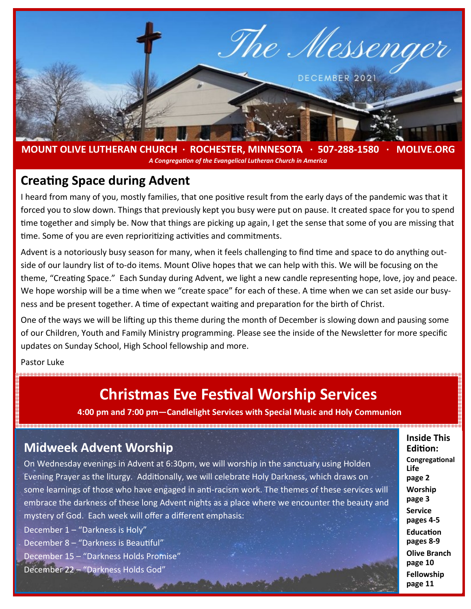

**MOUNT OLIVE LUTHERAN CHURCH · ROCHESTER, MINNESOTA · 507-288-1580 · MOLIVE.ORG**  *A Congregation of the Evangelical Lutheran Church in America*

#### **Creating Space during Advent**

I heard from many of you, mostly families, that one positive result from the early days of the pandemic was that it forced you to slow down. Things that previously kept you busy were put on pause. It created space for you to spend time together and simply be. Now that things are picking up again, I get the sense that some of you are missing that time. Some of you are even reprioritizing activities and commitments.

Advent is a notoriously busy season for many, when it feels challenging to find time and space to do anything outside of our laundry list of to-do items. Mount Olive hopes that we can help with this. We will be focusing on the theme, "Creating Space." Each Sunday during Advent, we light a new candle representing hope, love, joy and peace. We hope worship will be a time when we "create space" for each of these. A time when we can set aside our busyness and be present together. A time of expectant waiting and preparation for the birth of Christ.

One of the ways we will be lifting up this theme during the month of December is slowing down and pausing some of our Children, Youth and Family Ministry programming. Please see the inside of the Newsletter for more specific updates on Sunday School, High School fellowship and more.

Pastor Luke

# **Christmas Eve Festival Worship Services**

**4:00 pm and 7:00 pm—Candlelight Services with Special Music and Holy Communion** 

### **Midweek Advent Worship**

On Wednesday evenings in Advent at 6:30pm, we will worship in the sanctuary using Holden Evening Prayer as the liturgy. Additionally, we will celebrate Holy Darkness, which draws on some learnings of those who have engaged in anti-racism work. The themes of these services will embrace the darkness of these long Advent nights as a place where we encounter the beauty and mystery of God. Each week will offer a different emphasis:

December 1 – "Darkness is Holy"

December 8 – "Darkness is Beautiful"

December 15 – "Darkness Holds Promise"

December 22 – "Darkness Holds God"

**Inside This Edition: Congregational Life page 2 Worship page 3 Service pages 4-5 Education pages 8-9 Olive Branch page 10 Fellowship page 11**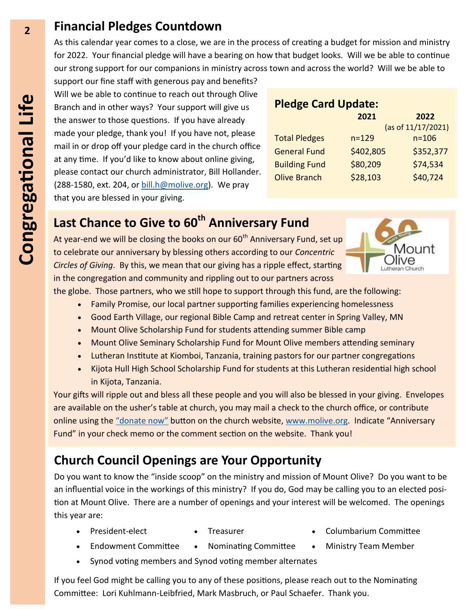## **Financial Pledges Countdown**

As this calendar year comes to a close, we are in the process of creating a budget for mission and ministry for 2022. Your financial pledge will have a bearing on how that budget looks. Will we be able to continue our strong support for our companions in ministry across town and across the world? Will we be able to

support our fine staff with generous pay and benefits? Will we be able to continue to reach out through Olive Branch and in other ways? Your support will give us the answer to those questions. If you have already made your pledge, thank you! If you have not, please mail in or drop off your pledge card in the church office at any time. If you'd like to know about online giving, please contact our church administrator, Bill Hollander.  $(288-1580, \text{ext. } 204, \text{or } \frac{\text{bill.h@molve.org}}{\text{molve.org}}.$  We pray that you are blessed in your giving.

#### **Pledge Card Update:**

|                      | 2021               | 2022      |
|----------------------|--------------------|-----------|
|                      | (as of 11/17/2021) |           |
| <b>Total Pledges</b> | $n = 129$          | $n = 106$ |
| <b>General Fund</b>  | \$402,805          | \$352,377 |
| <b>Building Fund</b> | \$80,209           | \$74,534  |
| <b>Olive Branch</b>  | \$28,103           | \$40,724  |
|                      |                    |           |

# **Last Chance to Give to 60th Anniversary Fund**

At year-end we will be closing the books on our 60<sup>th</sup> Anniversary Fund, set up to celebrate our anniversary by blessing others according to our *Concentric Circles of Giving*. By this, we mean that our giving has a ripple effect, starting in the congregation and community and rippling out to our partners across



the globe. Those partners, who we still hope to support through this fund, are the following:

- Family Promise, our local partner supporting families experiencing homelessness
- Good Earth Village, our regional Bible Camp and retreat center in Spring Valley, MN
- Mount Olive Scholarship Fund for students attending summer Bible camp
- Mount Olive Seminary Scholarship Fund for Mount Olive members attending seminary
- Lutheran Institute at Kiomboi, Tanzania, training pastors for our partner congregations
- Kijota Hull High School Scholarship Fund for students at this Lutheran residential high school in Kijota, Tanzania.

Your gifts will ripple out and bless all these people and you will also be blessed in your giving. Envelopes are available on the usher's table at church, you may mail a check to the church office, or contribute online using the "[donate now](https://secure.myvanco.com/YKR4/home)" button on the church website, [www.molive.org.](http://molive.org/) Indicate "Anniversary Fund" in your check memo or the comment section on the website. Thank you!

## **Church Council Openings are Your Opportunity**

Do you want to know the "inside scoop" on the ministry and mission of Mount Olive? Do you want to be an influential voice in the workings of this ministry? If you do, God may be calling you to an elected position at Mount Olive. There are a number of openings and your interest will be welcomed. The openings this year are:

- 
- 
- President-elect Treasurer Columbarium Committee
- Endowment Committee Nominating Committee Ministry Team Member
- 
- Synod voting members and Synod voting member alternates

If you feel God might be calling you to any of these positions, please reach out to the Nominating Committee: Lori Kuhlmann-Leibfried, Mark Masbruch, or Paul Schaefer. Thank you.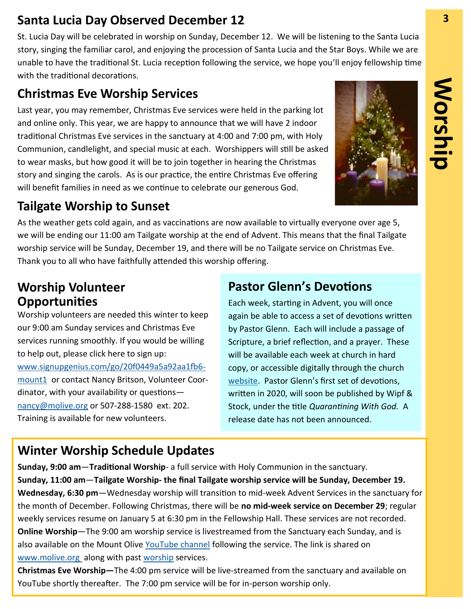## **Santa Lucia Day Observed December 12 3**

St. Lucia Day will be celebrated in worship on Sunday, December 12. We will be listening to the Santa Lucia story, singing the familiar carol, and enjoying the procession of Santa Lucia and the Star Boys. While we are unable to have the traditional St. Lucia reception following the service, we hope you'll enjoy fellowship time with the traditional decorations.

## **Christmas Eve Worship Services**

Last year, you may remember, Christmas Eve services were held in the parking lot and online only. This year, we are happy to announce that we will have 2 indoor traditional Christmas Eve services in the sanctuary at 4:00 and 7:00 pm, with Holy Communion, candlelight, and special music at each. Worshippers will still be asked to wear masks, but how good it will be to join together in hearing the Christmas story and singing the carols. As is our practice, the entire Christmas Eve offering will benefit families in need as we continue to celebrate our generous God.

# **Tailgate Worship to Sunset**

As the weather gets cold again, and as vaccinations are now available to virtually everyone over age 5, we will be ending our 11:00 am Tailgate worship at the end of Advent. This means that the final Tailgate worship service will be Sunday, December 19, and there will be no Tailgate service on Christmas Eve. Thank you to all who have faithfully attended this worship offering.

## **Worship Volunteer Opportunities**

Worship volunteers are needed this winter to keep our 9:00 am Sunday services and Christmas Eve services running smoothly. If you would be willing to help out, please click here to sign up: [www.signupgenius.com/go/20f0449a5a92aa1fb6](https://www.signupgenius.com/go/20f0449a5a92aa1fb6-mount1) [mount1](https://www.signupgenius.com/go/20f0449a5a92aa1fb6-mount1) or contact Nancy Britson, Volunteer Coordinator, with your availability or questions [nancy@molive.org](mailto:nancy@molive.org) or 507-288-1580 ext. 202. Training is available for new volunteers.

## **Pastor Glenn's Devotions**

Each week, starting in Advent, you will once again be able to access a set of devotions written by Pastor Glenn. Each will include a passage of Scripture, a brief reflection, and a prayer. These will be available each week at church in hard copy, or accessible digitally through the church [website.](http://molive.org/index.php/weekly-devotional) Pastor Glenn's first set of devotions, written in 2020, will soon be published by Wipf & Stock, under the title *Quarantining With God.* A release date has not been announced.

## **Winter Worship Schedule Updates**

**Sunday, 9:00 am**—**Traditional Worship**- a full service with Holy Communion in the sanctuary. **Sunday, 11:00 am**—**Tailgate Worship- the final Tailgate worship service will be Sunday, December 19. Wednesday, 6:30 pm**—Wednesday worship will transition to mid-week Advent Services in the sanctuary for the month of December. Following Christmas, there will be **no mid-week service on December 29**; regular weekly services resume on January 5 at 6:30 pm in the Fellowship Hall. These services are not recorded. **Online Worship**—The 9:00 am worship service is livestreamed from the Sanctuary each Sunday, and is also available on the Mount Olive [YouTube channel](https://www.youtube.com/user/MountOliveELCA) following the service. The link is shared on [www.molive.org](http://www.molive.org) along with past [worship](http://molive.org/index.php/worship) services.

**Christmas Eve Worship—**The 4:00 pm service will be live-streamed from the sanctuary and available on YouTube shortly thereafter. The 7:00 pm service will be for in-person worship only.

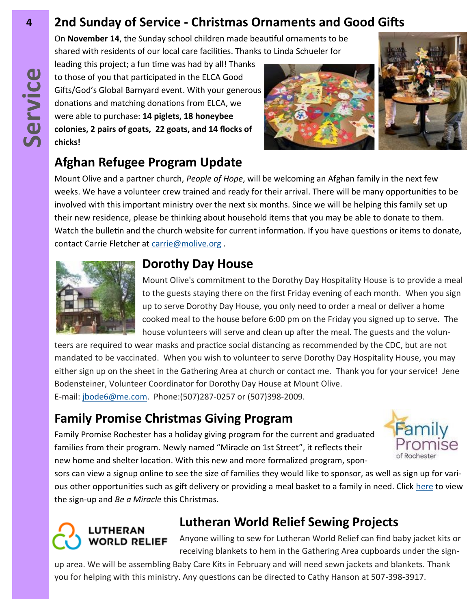# **4 2nd Sunday of Service - Christmas Ornaments and Good Gifts**

On **November 14**, the Sunday school children made beautiful ornaments to be shared with residents of our local care facilities. Thanks to Linda Schueler for

leading this project; a fun time was had by all! Thanks to those of you that participated in the ELCA Good Gifts/God's Global Barnyard event. With your generous donations and matching donations from ELCA, we were able to purchase: **14 piglets, 18 honeybee colonies, 2 pairs of goats, 22 goats, and 14 flocks of chicks!**





# **Afghan Refugee Program Update**

Mount Olive and a partner church, *People of Hope*, will be welcoming an Afghan family in the next few weeks. We have a volunteer crew trained and ready for their arrival. There will be many opportunities to be involved with this important ministry over the next six months. Since we will be helping this family set up their new residence, please be thinking about household items that you may be able to donate to them. Watch the bulletin and the church website for current information. If you have questions or items to donate, contact Carrie Fletcher at [carrie@molive.org](mailto:carrie@molive.org) .



## **Dorothy Day House**

Mount Olive's commitment to the Dorothy Day Hospitality House is to provide a meal to the guests staying there on the first Friday evening of each month. When you sign up to serve Dorothy Day House, you only need to order a meal or deliver a home cooked meal to the house before 6:00 pm on the Friday you signed up to serve. The house volunteers will serve and clean up after the meal. The guests and the volun-

teers are required to wear masks and practice social distancing as recommended by the CDC, but are not mandated to be vaccinated. When you wish to volunteer to serve Dorothy Day Hospitality House, you may either sign up on the sheet in the Gathering Area at church or contact me. Thank you for your service! Jene Bodensteiner, Volunteer Coordinator for Dorothy Day House at Mount Olive. E-mail: [jbode6@me.com.](mailto:jbode6@me.com) Phone:(507)287-0257 or (507)398-2009.

## **Family Promise Christmas Giving Program**

Family Promise Rochester has a holiday giving program for the current and graduated families from their program. Newly named "Miracle on 1st Street", it reflects their new home and shelter location. With this new and more formalized program, spon-



sors can view a signup online to see the size of families they would like to sponsor, as well as sign up for various other opportunities such as gift delivery or providing a meal basket to a family in need. Click [here](https://www.signupgenius.com/go/30e0c4fa4aa22a3f94-miracle) to view the sign-up and *Be a Miracle* this Christmas.

# **LUTHERAN WORLD RELIEF**

# **Lutheran World Relief Sewing Projects**

Anyone willing to sew for Lutheran World Relief can find baby jacket kits or receiving blankets to hem in the Gathering Area cupboards under the sign-

up area. We will be assembling Baby Care Kits in February and will need sewn jackets and blankets. Thank you for helping with this ministry. Any questions can be directed to Cathy Hanson at 507-398-3917.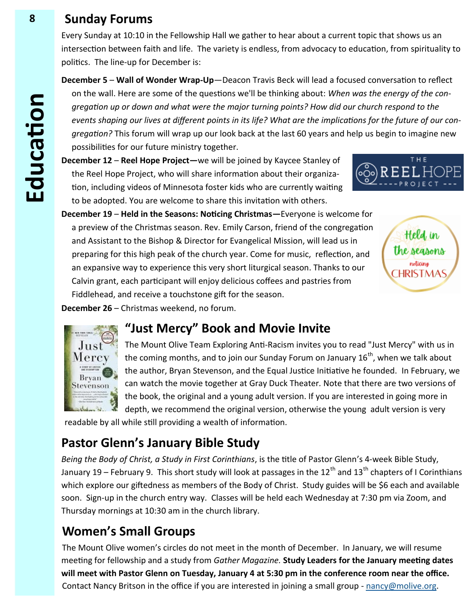### **8 Sunday Forums**

Every Sunday at 10:10 in the Fellowship Hall we gather to hear about a current topic that shows us an intersection between faith and life. The variety is endless, from advocacy to education, from spirituality to politics. The line-up for December is:

**December 5** – **Wall of Wonder Wrap-Up**—Deacon Travis Beck will lead a focused conversation to reflect on the wall. Here are some of the questions we'll be thinking about: *When was the energy of the congregation up or down and what were the major turning points? How did our church respond to the events shaping our lives at different points in its life? What are the implications for the future of our congregation?* This forum will wrap up our look back at the last 60 years and help us begin to imagine new possibilities for our future ministry together.

**December 12** – **Reel Hope Project—**we will be joined by Kaycee Stanley of the Reel Hope Project, who will share information about their organization, including videos of Minnesota foster kids who are currently waiting to be adopted. You are welcome to share this invitation with others.



**December 19** – **Held in the Seasons: Noticing Christmas—**Everyone is welcome for a preview of the Christmas season. Rev. Emily Carson, friend of the congregation and Assistant to the Bishop & Director for Evangelical Mission, will lead us in preparing for this high peak of the church year. Come for music, reflection, and an expansive way to experience this very short liturgical season. Thanks to our Calvin grant, each participant will enjoy delicious coffees and pastries from Fiddlehead, and receive a touchstone gift for the season.



**December 26** – Christmas weekend, no forum.



## **"Just Mercy" Book and Movie Invite**

The Mount Olive Team Exploring Anti-Racism invites you to read "Just Mercy" with us in the coming months, and to join our Sunday Forum on January  $16^{th}$ , when we talk about the author, Bryan Stevenson, and the Equal Justice Initiative he founded. In February, we can watch the movie together at Gray Duck Theater*.* Note that there are two versions of the book, the original and a young adult version. If you are interested in going more in depth, we recommend the original version, otherwise the young adult version is very

readable by all while still providing a wealth of information.

## **Pastor Glenn's January Bible Study**

*Being the Body of Christ, a Study in First Corinthians*, is the title of Pastor Glenn's 4-week Bible Study, January 19 – February 9. This short study will look at passages in the 12<sup>th</sup> and 13<sup>th</sup> chapters of I Corinthians which explore our giftedness as members of the Body of Christ. Study guides will be \$6 each and available soon. Sign-up in the church entry way. Classes will be held each Wednesday at 7:30 pm via Zoom, and Thursday mornings at 10:30 am in the church library.

# **Women's Small Groups**

The Mount Olive women's circles do not meet in the month of December. In January, we will resume meeting for fellowship and a study from *Gather Magazine.* **Study Leaders for the January meeting dates will meet with Pastor Glenn on Tuesday, January 4 at 5:30 pm in the conference room near the office.**  Contact Nancy Britson in the office if you are interested in joining a small group - [nancy@molive.org.](mailto:nancy@molive.org)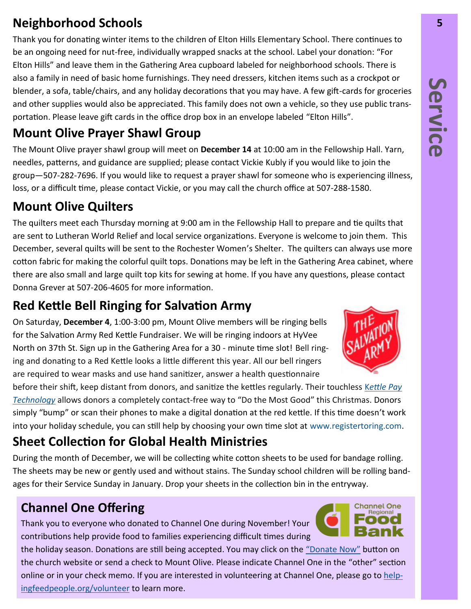# **Neighborhood Schools 5**

Thank you for donating winter items to the children of Elton Hills Elementary School. There continues to be an ongoing need for nut-free, individually wrapped snacks at the school. Label your donation: "For Elton Hills" and leave them in the Gathering Area cupboard labeled for neighborhood schools. There is also a family in need of basic home furnishings. They need dressers, kitchen items such as a crockpot or blender, a sofa, table/chairs, and any holiday decorations that you may have. A few gift-cards for groceries and other supplies would also be appreciated. This family does not own a vehicle, so they use public transportation. Please leave gift cards in the office drop box in an envelope labeled "Elton Hills".

# **Mount Olive Prayer Shawl Group**

The Mount Olive prayer shawl group will meet on **December 14** at 10:00 am in the Fellowship Hall. Yarn, needles, patterns, and guidance are supplied; please contact Vickie Kubly if you would like to join the group—507-282-7696. If you would like to request a prayer shawl for someone who is experiencing illness, loss, or a difficult time, please contact Vickie, or you may call the church office at 507-288-1580.

# **Mount Olive Quilters**

The quilters meet each Thursday morning at 9:00 am in the Fellowship Hall to prepare and tie quilts that are sent to Lutheran World Relief and local service organizations. Everyone is welcome to join them. This December, several quilts will be sent to the Rochester Women's Shelter. The quilters can always use more cotton fabric for making the colorful quilt tops. Donations may be left in the Gathering Area cabinet, where there are also small and large quilt top kits for sewing at home. If you have any questions, please contact Donna Grever at 507-206-4605 for more information.

# **Red Kettle Bell Ringing for Salvation Army**

On Saturday, **December 4**, 1:00-3:00 pm, Mount Olive members will be ringing bells for the Salvation Army Red Kettle Fundraiser. We will be ringing indoors at HyVee North on 37th St. Sign up in the Gathering Area for a 30 - minute time slot! Bell ringing and donating to a Red Kettle looks a little different this year. All our bell ringers are required to wear masks and use hand sanitizer, answer a health questionnaire

before their shift, keep distant from donors, and sanitize the kettles regularly. Their touchless K*[ettle Pay](https://centralusa.salvationarmy.org/metro/kettle-pay/)  [Technology](https://centralusa.salvationarmy.org/metro/kettle-pay/)* allows donors a completely contact-free way to "Do the Most Good" this Christmas. Donors simply "bump" or scan their phones to make a digital donation at the red kettle. If this time doesn't work into your holiday schedule, you can still help by choosing your own time slot at [www.registertoring.com.](http://www.registertoring.com)

# **Sheet Collection for Global Health Ministries**

During the month of December, we will be collecting white cotton sheets to be used for bandage rolling. The sheets may be new or gently used and without stains. The Sunday school children will be rolling bandages for their Service Sunday in January. Drop your sheets in the collection bin in the entryway.

# **Channel One Offering**

Thank you to everyone who donated to Channel One during November! Your contributions help provide food to families experiencing difficult times during

the holiday season. Donations are still being accepted. You may click on the "[Donate Now](https://tinyurl.com/rthw634)" button on the church website or send a check to Mount Olive. Please indicate Channel One in the "other" section online or in your check memo. If you are interested in volunteering at Channel One, please go to [help](https://www.helpingfeedpeople.org/volunteer/)[ingfeedpeople.org/volunteer](https://www.helpingfeedpeople.org/volunteer/) to learn more.



**Channel One** Regional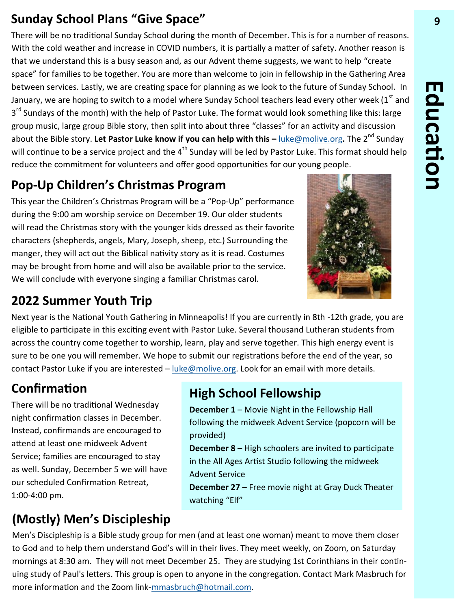## **Sunday School Plans "Give Space" 9**

There will be no traditional Sunday School during the month of December. This is for a number of reasons. With the cold weather and increase in COVID numbers, it is partially a matter of safety. Another reason is that we understand this is a busy season and, as our Advent theme suggests, we want to help "create space" for families to be together. You are more than welcome to join in fellowship in the Gathering Area between services. Lastly, we are creating space for planning as we look to the future of Sunday School. In January, we are hoping to switch to a model where Sunday School teachers lead every other week (1<sup>st</sup> and 3<sup>rd</sup> Sundays of the month) with the help of Pastor Luke. The format would look something like this: large group music, large group Bible story, then split into about three "classes" for an activity and discussion about the Bible story. Let Pastor Luke know if you can help with this – [luke@molive.org](mailto:luke@molive.org). The 2<sup>nd</sup> Sunday will continue to be a service project and the 4<sup>th</sup> Sunday will be led by Pastor Luke. This format should help reduce the commitment for volunteers and offer good opportunities for our young people.

# **Pop-Up Children's Christmas Program**

This year the Children's Christmas Program will be a "Pop-Up" performance during the 9:00 am worship service on December 19. Our older students will read the Christmas story with the younger kids dressed as their favorite characters (shepherds, angels, Mary, Joseph, sheep, etc.) Surrounding the manger, they will act out the Biblical nativity story as it is read. Costumes may be brought from home and will also be available prior to the service. We will conclude with everyone singing a familiar Christmas carol.



Next year is the National Youth Gathering in Minneapolis! If you are currently in 8th -12th grade, you are eligible to participate in this exciting event with Pastor Luke. Several thousand Lutheran students from across the country come together to worship, learn, play and serve together. This high energy event is sure to be one you will remember. We hope to submit our registrations before the end of the year, so contact Pastor Luke if you are interested – [luke@molive.org.](mailto:luke@molive.org) Look for an email with more details.

# **Confirmation**

There will be no traditional Wednesday night confirmation classes in December. Instead, confirmands are encouraged to attend at least one midweek Advent Service; families are encouraged to stay as well. Sunday, December 5 we will have our scheduled Confirmation Retreat, 1:00-4:00 pm.

## **High School Fellowship**

**December 1** – Movie Night in the Fellowship Hall following the midweek Advent Service (popcorn will be provided)

**December 8** – High schoolers are invited to participate in the All Ages Artist Studio following the midweek Advent Service

**December 27** – Free movie night at Gray Duck Theater watching "Elf"

# **(Mostly) Men's Discipleship**

Men's Discipleship is a Bible study group for men (and at least one woman) meant to move them closer to God and to help them understand God's will in their lives. They meet weekly, on Zoom, on Saturday mornings at 8:30 am. They will not meet December 25. They are studying 1st Corinthians in their continuing study of Paul's letters. This group is open to anyone in the congregation. Contact Mark Masbruch for more information and the Zoom link-[mmasbruch@hotmail.com.](mailto:mmasbruch@hotmail.com)

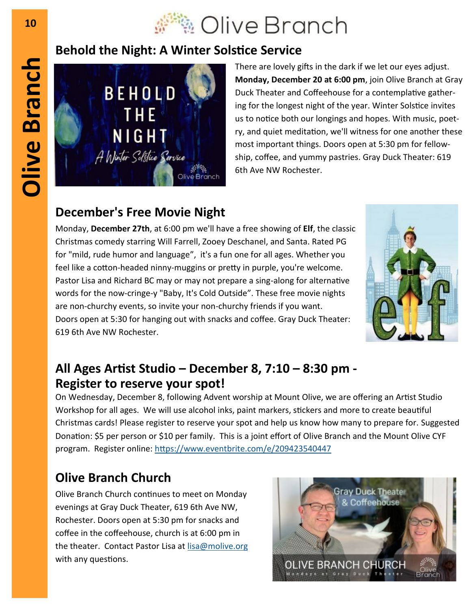# © Olive Branch

## **Behold the Night: A Winter Solstice Service**



There are lovely gifts in the dark if we let our eyes adjust. **Monday, December 20 at 6:00 pm**, join Olive Branch at Gray Duck Theater and Coffeehouse for a contemplative gathering for the longest night of the year. Winter Solstice invites us to notice both our longings and hopes. With music, poetry, and quiet meditation, we'll witness for one another these most important things. Doors open at 5:30 pm for fellowship, coffee, and yummy pastries. Gray Duck Theater: 619 6th Ave NW Rochester.

# **December's Free Movie Night**

Monday, **December 27th**, at 6:00 pm we'll have a free showing of **Elf**, the classic Christmas comedy starring Will Farrell, Zooey Deschanel, and Santa. Rated PG for "mild, rude humor and language", it's a fun one for all ages. Whether you feel like a cotton-headed ninny-muggins or pretty in purple, you're welcome. Pastor Lisa and Richard BC may or may not prepare a sing-along for alternative words for the now-cringe-y "Baby, It's Cold Outside". These free movie nights are non-churchy events, so invite your non-churchy friends if you want. Doors open at 5:30 for hanging out with snacks and coffee. Gray Duck Theater: 619 6th Ave NW Rochester.



## **All Ages Artist Studio – December 8, 7:10 – 8:30 pm - Register to reserve your spot!**

On Wednesday, December 8, following Advent worship at Mount Olive, we are offering an Artist Studio Workshop for all ages. We will use alcohol inks, paint markers, stickers and more to create beautiful Christmas cards! Please register to reserve your spot and help us know how many to prepare for. Suggested Donation: \$5 per person or \$10 per family. This is a joint effort of Olive Branch and the Mount Olive CYF program. Register online: <https://www.eventbrite.com/e/209423540447>

# **Olive Branch Church**

Olive Branch Church continues to meet on Monday evenings at Gray Duck Theater, 619 6th Ave NW, Rochester. Doors open at 5:30 pm for snacks and coffee in the coffeehouse, church is at 6:00 pm in the theater. Contact Pastor Lisa at [lisa@molive.org](mailto:lisa@molive.org) with any questions.



**Olive Branch**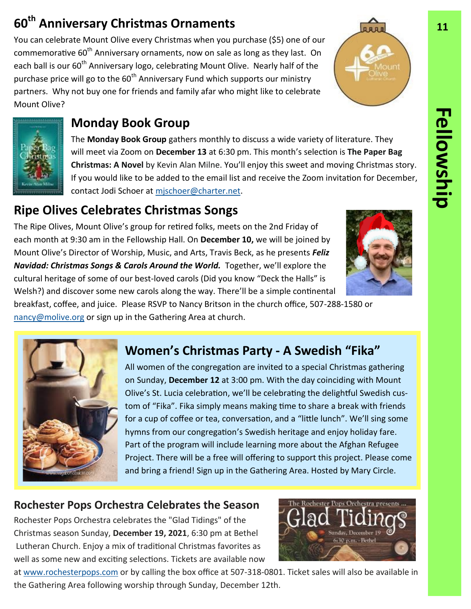# **60<sup>th</sup> Anniversary Christmas Ornaments 11**

You can celebrate Mount Olive every Christmas when you purchase (\$5) one of our commemorative  $60<sup>th</sup>$  Anniversary ornaments, now on sale as long as they last. On each ball is our  $60<sup>th</sup>$  Anniversary logo, celebrating Mount Olive. Nearly half of the purchase price will go to the  $60<sup>th</sup>$  Anniversary Fund which supports our ministry partners. Why not buy one for friends and family afar who might like to celebrate Mount Olive?



## **Monday Book Group**

The **Monday Book Group** gathers monthly to discuss a wide variety of literature. They will meet via Zoom on **December 13** at 6:30 pm. This month's selection is **The Paper Bag Christmas: A Novel** by Kevin Alan Milne. You'll enjoy this sweet and moving Christmas story. If you would like to be added to the email list and receive the Zoom invitation for December, contact Jodi Schoer at mischoer@charter.net.

# **Ripe Olives Celebrates Christmas Songs**

The Ripe Olives, Mount Olive's group for retired folks, meets on the 2nd Friday of each month at 9:30 am in the Fellowship Hall. On **December 10,** we will be joined by Mount Olive's Director of Worship, Music, and Arts, Travis Beck, as he presents *Feliz Navidad: Christmas Songs & Carols Around the World.* Together, we'll explore the cultural heritage of some of our best-loved carols (Did you know "Deck the Halls" is Welsh?) and discover some new carols along the way. There'll be a simple continental

breakfast, coffee, and juice. Please RSVP to Nancy Britson in the church office, 507-288-1580 or [nancy@molive.org](mailto:nancy@molive.org) or sign up in the Gathering Area at church.



# **Women's Christmas Party - A Swedish "Fika"**

All women of the congregation are invited to a special Christmas gathering on Sunday, **December 12** at 3:00 pm. With the day coinciding with Mount Olive's St. Lucia celebration, we'll be celebrating the delightful Swedish custom of "Fika". Fika simply means making time to share a break with friends for a cup of coffee or tea, conversation, and a "little lunch". We'll sing some hymns from our congregation's Swedish heritage and enjoy holiday fare. Part of the program will include learning more about the Afghan Refugee Project. There will be a free will offering to support this project. Please come and bring a friend! Sign up in the Gathering Area. Hosted by Mary Circle.

### **Rochester Pops Orchestra Celebrates the Season**

Rochester Pops Orchestra celebrates the "Glad Tidings" of the Christmas season Sunday, **December 19, 2021**, 6:30 pm at Bethel Lutheran Church. Enjoy a mix of traditional Christmas favorites as well as some new and exciting selections. Tickets are available now



at [www.rochesterpops.com](http://www.rochesterpops.com) or by calling the box office at 507-318-0801. Ticket sales will also be available in the Gathering Area following worship through Sunday, December 12th.